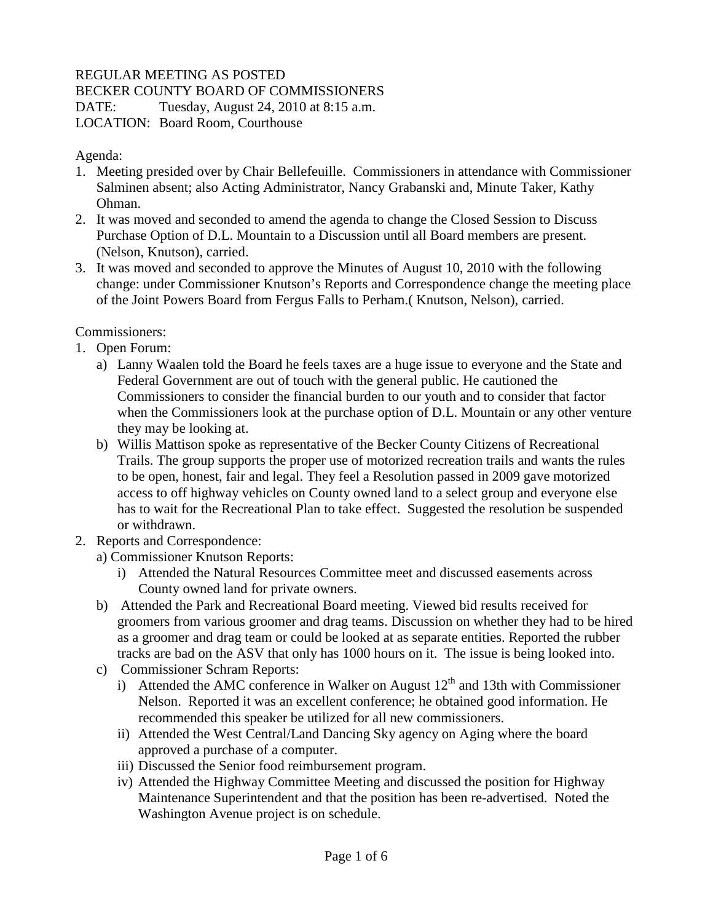## REGULAR MEETING AS POSTED

BECKER COUNTY BOARD OF COMMISSIONERS

DATE: Tuesday, August 24, 2010 at 8:15 a.m.

LOCATION: Board Room, Courthouse

Agenda:

- 1. Meeting presided over by Chair Bellefeuille. Commissioners in attendance with Commissioner Salminen absent; also Acting Administrator, Nancy Grabanski and, Minute Taker, Kathy Ohman.
- 2. It was moved and seconded to amend the agenda to change the Closed Session to Discuss Purchase Option of D.L. Mountain to a Discussion until all Board members are present. (Nelson, Knutson), carried.
- 3. It was moved and seconded to approve the Minutes of August 10, 2010 with the following change: under Commissioner Knutson's Reports and Correspondence change the meeting place of the Joint Powers Board from Fergus Falls to Perham.( Knutson, Nelson), carried.

Commissioners:

- 1. Open Forum:
	- a) Lanny Waalen told the Board he feels taxes are a huge issue to everyone and the State and Federal Government are out of touch with the general public. He cautioned the Commissioners to consider the financial burden to our youth and to consider that factor when the Commissioners look at the purchase option of D.L. Mountain or any other venture they may be looking at.
	- b) Willis Mattison spoke as representative of the Becker County Citizens of Recreational Trails. The group supports the proper use of motorized recreation trails and wants the rules to be open, honest, fair and legal. They feel a Resolution passed in 2009 gave motorized access to off highway vehicles on County owned land to a select group and everyone else has to wait for the Recreational Plan to take effect. Suggested the resolution be suspended or withdrawn.
- 2. Reports and Correspondence:
	- a) Commissioner Knutson Reports:
		- i) Attended the Natural Resources Committee meet and discussed easements across County owned land for private owners.
	- b) Attended the Park and Recreational Board meeting. Viewed bid results received for groomers from various groomer and drag teams. Discussion on whether they had to be hired as a groomer and drag team or could be looked at as separate entities. Reported the rubber tracks are bad on the ASV that only has 1000 hours on it. The issue is being looked into.
	- c) Commissioner Schram Reports:
		- i) Attended the AMC conference in Walker on August  $12<sup>th</sup>$  and 13th with Commissioner Nelson. Reported it was an excellent conference; he obtained good information. He recommended this speaker be utilized for all new commissioners.
		- ii) Attended the West Central/Land Dancing Sky agency on Aging where the board approved a purchase of a computer.
		- iii) Discussed the Senior food reimbursement program.
		- iv) Attended the Highway Committee Meeting and discussed the position for Highway Maintenance Superintendent and that the position has been re-advertised. Noted the Washington Avenue project is on schedule.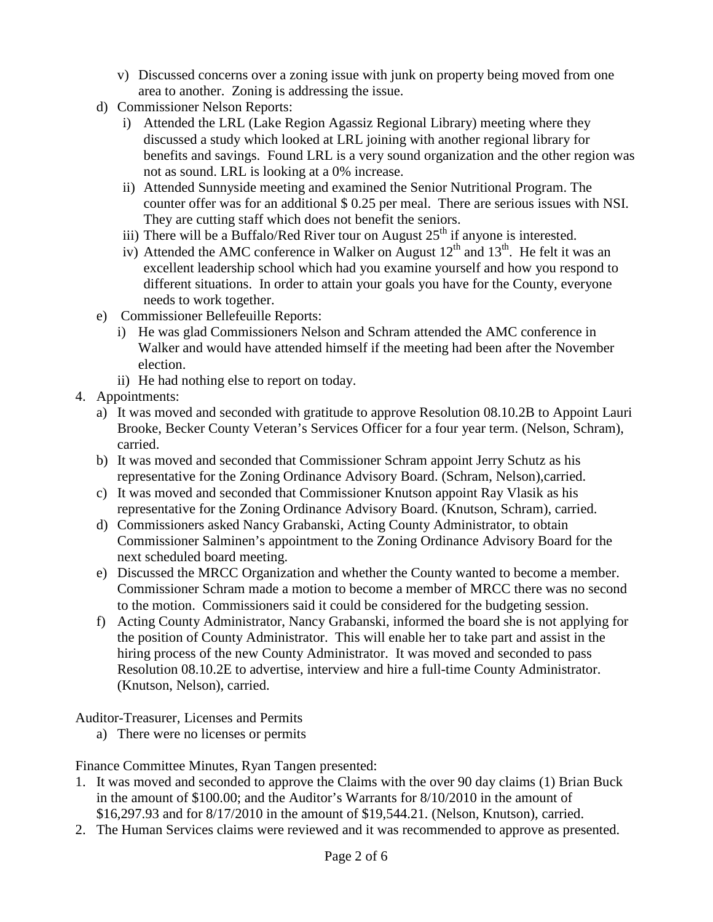- v) Discussed concerns over a zoning issue with junk on property being moved from one area to another. Zoning is addressing the issue.
- d) Commissioner Nelson Reports:
	- i) Attended the LRL (Lake Region Agassiz Regional Library) meeting where they discussed a study which looked at LRL joining with another regional library for benefits and savings. Found LRL is a very sound organization and the other region was not as sound. LRL is looking at a 0% increase.
	- ii) Attended Sunnyside meeting and examined the Senior Nutritional Program. The counter offer was for an additional \$ 0.25 per meal. There are serious issues with NSI. They are cutting staff which does not benefit the seniors.
	- iii) There will be a Buffalo/Red River tour on August  $25<sup>th</sup>$  if anyone is interested.
	- iv) Attended the AMC conference in Walker on August  $12<sup>th</sup>$  and  $13<sup>th</sup>$ . He felt it was an excellent leadership school which had you examine yourself and how you respond to different situations. In order to attain your goals you have for the County, everyone needs to work together.
- e) Commissioner Bellefeuille Reports:
	- i) He was glad Commissioners Nelson and Schram attended the AMC conference in Walker and would have attended himself if the meeting had been after the November election.
	- ii) He had nothing else to report on today.
- 4. Appointments:
	- a) It was moved and seconded with gratitude to approve Resolution 08.10.2B to Appoint Lauri Brooke, Becker County Veteran's Services Officer for a four year term. (Nelson, Schram), carried.
	- b) It was moved and seconded that Commissioner Schram appoint Jerry Schutz as his representative for the Zoning Ordinance Advisory Board. (Schram, Nelson),carried.
	- c) It was moved and seconded that Commissioner Knutson appoint Ray Vlasik as his representative for the Zoning Ordinance Advisory Board. (Knutson, Schram), carried.
	- d) Commissioners asked Nancy Grabanski, Acting County Administrator, to obtain Commissioner Salminen's appointment to the Zoning Ordinance Advisory Board for the next scheduled board meeting.
	- e) Discussed the MRCC Organization and whether the County wanted to become a member. Commissioner Schram made a motion to become a member of MRCC there was no second to the motion. Commissioners said it could be considered for the budgeting session.
	- f) Acting County Administrator, Nancy Grabanski, informed the board she is not applying for the position of County Administrator. This will enable her to take part and assist in the hiring process of the new County Administrator. It was moved and seconded to pass Resolution 08.10.2E to advertise, interview and hire a full-time County Administrator. (Knutson, Nelson), carried.

Auditor-Treasurer, Licenses and Permits

a) There were no licenses or permits

Finance Committee Minutes, Ryan Tangen presented:

- 1. It was moved and seconded to approve the Claims with the over 90 day claims (1) Brian Buck in the amount of \$100.00; and the Auditor's Warrants for 8/10/2010 in the amount of \$16,297.93 and for 8/17/2010 in the amount of \$19,544.21. (Nelson, Knutson), carried.
- 2. The Human Services claims were reviewed and it was recommended to approve as presented.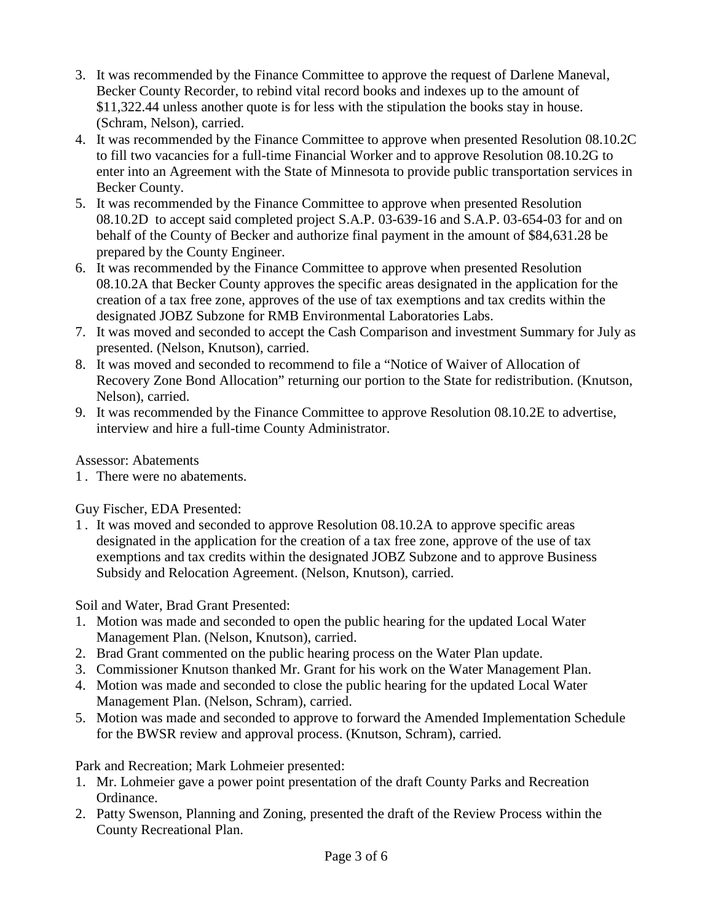- 3. It was recommended by the Finance Committee to approve the request of Darlene Maneval, Becker County Recorder, to rebind vital record books and indexes up to the amount of \$11,322.44 unless another quote is for less with the stipulation the books stay in house. (Schram, Nelson), carried.
- 4. It was recommended by the Finance Committee to approve when presented Resolution 08.10.2C to fill two vacancies for a full-time Financial Worker and to approve Resolution 08.10.2G to enter into an Agreement with the State of Minnesota to provide public transportation services in Becker County.
- 5. It was recommended by the Finance Committee to approve when presented Resolution 08.10.2D to accept said completed project S.A.P. 03-639-16 and S.A.P. 03-654-03 for and on behalf of the County of Becker and authorize final payment in the amount of \$84,631.28 be prepared by the County Engineer.
- 6. It was recommended by the Finance Committee to approve when presented Resolution 08.10.2A that Becker County approves the specific areas designated in the application for the creation of a tax free zone, approves of the use of tax exemptions and tax credits within the designated JOBZ Subzone for RMB Environmental Laboratories Labs.
- 7. It was moved and seconded to accept the Cash Comparison and investment Summary for July as presented. (Nelson, Knutson), carried.
- 8. It was moved and seconded to recommend to file a "Notice of Waiver of Allocation of Recovery Zone Bond Allocation" returning our portion to the State for redistribution. (Knutson, Nelson), carried.
- 9. It was recommended by the Finance Committee to approve Resolution 08.10.2E to advertise, interview and hire a full-time County Administrator.

Assessor: Abatements

1 . There were no abatements.

Guy Fischer, EDA Presented:

1 . It was moved and seconded to approve Resolution 08.10.2A to approve specific areas designated in the application for the creation of a tax free zone, approve of the use of tax exemptions and tax credits within the designated JOBZ Subzone and to approve Business Subsidy and Relocation Agreement. (Nelson, Knutson), carried.

Soil and Water, Brad Grant Presented:

- 1. Motion was made and seconded to open the public hearing for the updated Local Water Management Plan. (Nelson, Knutson), carried.
- 2. Brad Grant commented on the public hearing process on the Water Plan update.
- 3. Commissioner Knutson thanked Mr. Grant for his work on the Water Management Plan.
- 4. Motion was made and seconded to close the public hearing for the updated Local Water Management Plan. (Nelson, Schram), carried.
- 5. Motion was made and seconded to approve to forward the Amended Implementation Schedule for the BWSR review and approval process. (Knutson, Schram), carried.

Park and Recreation; Mark Lohmeier presented:

- 1. Mr. Lohmeier gave a power point presentation of the draft County Parks and Recreation Ordinance.
- 2. Patty Swenson, Planning and Zoning, presented the draft of the Review Process within the County Recreational Plan.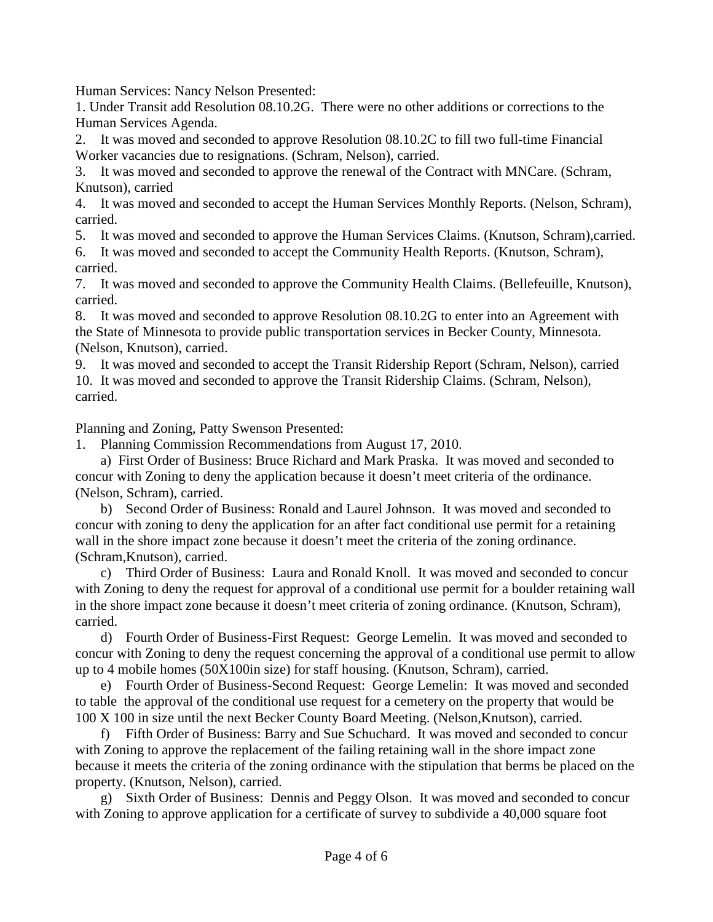Human Services: Nancy Nelson Presented:

1. Under Transit add Resolution 08.10.2G. There were no other additions or corrections to the Human Services Agenda.

2. It was moved and seconded to approve Resolution 08.10.2C to fill two full-time Financial Worker vacancies due to resignations. (Schram, Nelson), carried.

3. It was moved and seconded to approve the renewal of the Contract with MNCare. (Schram, Knutson), carried

4. It was moved and seconded to accept the Human Services Monthly Reports. (Nelson, Schram), carried.

5. It was moved and seconded to approve the Human Services Claims. (Knutson, Schram),carried.

6. It was moved and seconded to accept the Community Health Reports. (Knutson, Schram), carried.

7. It was moved and seconded to approve the Community Health Claims. (Bellefeuille, Knutson), carried.

8. It was moved and seconded to approve Resolution 08.10.2G to enter into an Agreement with the State of Minnesota to provide public transportation services in Becker County, Minnesota. (Nelson, Knutson), carried.

9. It was moved and seconded to accept the Transit Ridership Report (Schram, Nelson), carried 10. It was moved and seconded to approve the Transit Ridership Claims. (Schram, Nelson), carried.

Planning and Zoning, Patty Swenson Presented:

1. Planning Commission Recommendations from August 17, 2010.

 a) First Order of Business: Bruce Richard and Mark Praska. It was moved and seconded to concur with Zoning to deny the application because it doesn't meet criteria of the ordinance. (Nelson, Schram), carried.

 b) Second Order of Business: Ronald and Laurel Johnson. It was moved and seconded to concur with zoning to deny the application for an after fact conditional use permit for a retaining wall in the shore impact zone because it doesn't meet the criteria of the zoning ordinance. (Schram,Knutson), carried.

 c) Third Order of Business: Laura and Ronald Knoll. It was moved and seconded to concur with Zoning to deny the request for approval of a conditional use permit for a boulder retaining wall in the shore impact zone because it doesn't meet criteria of zoning ordinance. (Knutson, Schram), carried.

 d) Fourth Order of Business-First Request: George Lemelin. It was moved and seconded to concur with Zoning to deny the request concerning the approval of a conditional use permit to allow up to 4 mobile homes (50X100in size) for staff housing. (Knutson, Schram), carried.

 e) Fourth Order of Business-Second Request: George Lemelin: It was moved and seconded to table the approval of the conditional use request for a cemetery on the property that would be 100 X 100 in size until the next Becker County Board Meeting. (Nelson,Knutson), carried.

Fifth Order of Business: Barry and Sue Schuchard. It was moved and seconded to concur with Zoning to approve the replacement of the failing retaining wall in the shore impact zone because it meets the criteria of the zoning ordinance with the stipulation that berms be placed on the property. (Knutson, Nelson), carried.

 g) Sixth Order of Business: Dennis and Peggy Olson. It was moved and seconded to concur with Zoning to approve application for a certificate of survey to subdivide a 40,000 square foot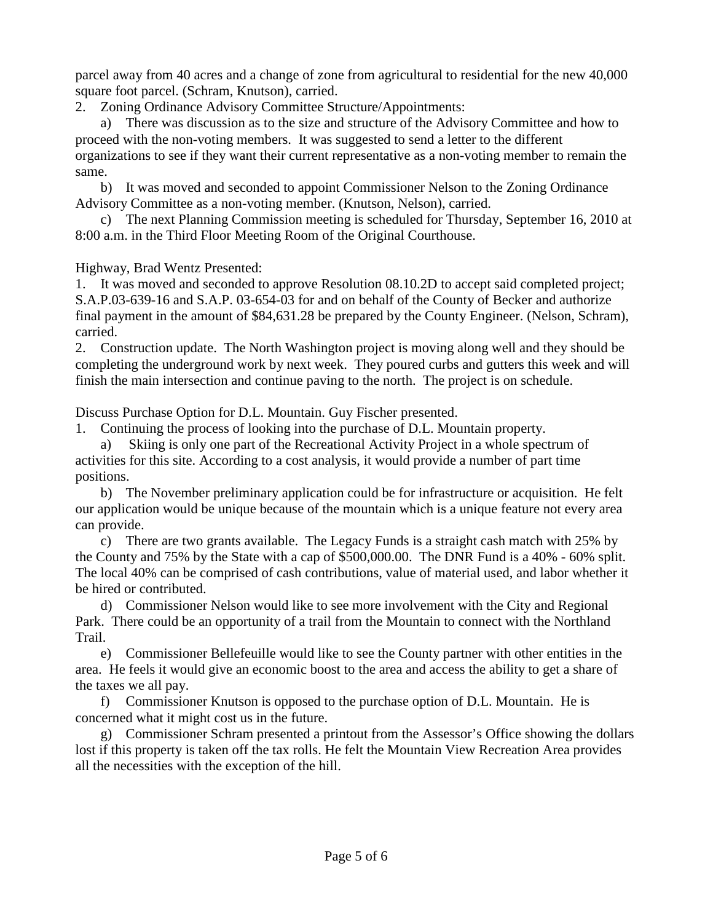parcel away from 40 acres and a change of zone from agricultural to residential for the new 40,000 square foot parcel. (Schram, Knutson), carried.

2. Zoning Ordinance Advisory Committee Structure/Appointments:

 a) There was discussion as to the size and structure of the Advisory Committee and how to proceed with the non-voting members. It was suggested to send a letter to the different organizations to see if they want their current representative as a non-voting member to remain the same.

 b) It was moved and seconded to appoint Commissioner Nelson to the Zoning Ordinance Advisory Committee as a non-voting member. (Knutson, Nelson), carried.

 c) The next Planning Commission meeting is scheduled for Thursday, September 16, 2010 at 8:00 a.m. in the Third Floor Meeting Room of the Original Courthouse.

Highway, Brad Wentz Presented:

1. It was moved and seconded to approve Resolution 08.10.2D to accept said completed project; S.A.P.03-639-16 and S.A.P. 03-654-03 for and on behalf of the County of Becker and authorize final payment in the amount of \$84,631.28 be prepared by the County Engineer. (Nelson, Schram), carried.

2. Construction update. The North Washington project is moving along well and they should be completing the underground work by next week. They poured curbs and gutters this week and will finish the main intersection and continue paving to the north. The project is on schedule.

Discuss Purchase Option for D.L. Mountain. Guy Fischer presented.

1. Continuing the process of looking into the purchase of D.L. Mountain property.

a) Skiing is only one part of the Recreational Activity Project in a whole spectrum of activities for this site. According to a cost analysis, it would provide a number of part time positions.

b) The November preliminary application could be for infrastructure or acquisition. He felt our application would be unique because of the mountain which is a unique feature not every area can provide.

c) There are two grants available. The Legacy Funds is a straight cash match with 25% by the County and 75% by the State with a cap of \$500,000.00. The DNR Fund is a 40% - 60% split. The local 40% can be comprised of cash contributions, value of material used, and labor whether it be hired or contributed.

d) Commissioner Nelson would like to see more involvement with the City and Regional Park. There could be an opportunity of a trail from the Mountain to connect with the Northland Trail.

e) Commissioner Bellefeuille would like to see the County partner with other entities in the area. He feels it would give an economic boost to the area and access the ability to get a share of the taxes we all pay.

f) Commissioner Knutson is opposed to the purchase option of D.L. Mountain. He is concerned what it might cost us in the future.

g) Commissioner Schram presented a printout from the Assessor's Office showing the dollars lost if this property is taken off the tax rolls. He felt the Mountain View Recreation Area provides all the necessities with the exception of the hill.